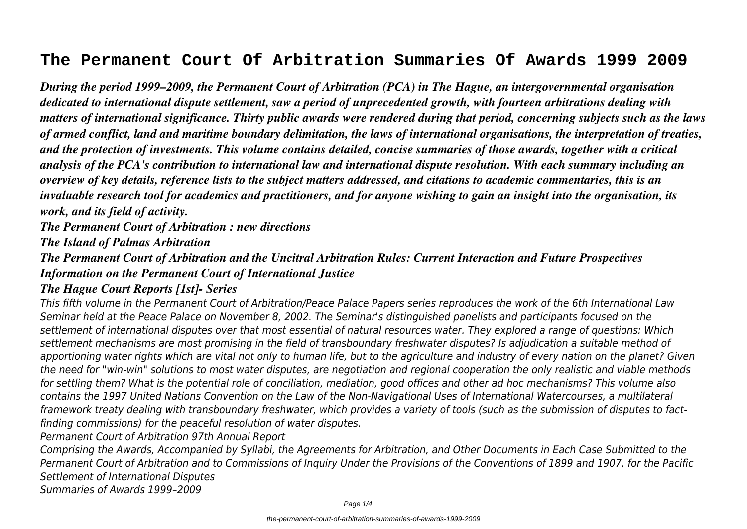# **The Permanent Court Of Arbitration Summaries Of Awards 1999 2009**

*During the period 1999–2009, the Permanent Court of Arbitration (PCA) in The Hague, an intergovernmental organisation dedicated to international dispute settlement, saw a period of unprecedented growth, with fourteen arbitrations dealing with matters of international significance. Thirty public awards were rendered during that period, concerning subjects such as the laws of armed conflict, land and maritime boundary delimitation, the laws of international organisations, the interpretation of treaties, and the protection of investments. This volume contains detailed, concise summaries of those awards, together with a critical analysis of the PCA's contribution to international law and international dispute resolution. With each summary including an overview of key details, reference lists to the subject matters addressed, and citations to academic commentaries, this is an invaluable research tool for academics and practitioners, and for anyone wishing to gain an insight into the organisation, its work, and its field of activity.*

*The Permanent Court of Arbitration : new directions*

*The Island of Palmas Arbitration*

*The Permanent Court of Arbitration and the Uncitral Arbitration Rules: Current Interaction and Future Prospectives Information on the Permanent Court of International Justice*

# *The Hague Court Reports [1st]- Series*

*This fifth volume in the Permanent Court of Arbitration/Peace Palace Papers series reproduces the work of the 6th International Law Seminar held at the Peace Palace on November 8, 2002. The Seminar's distinguished panelists and participants focused on the settlement of international disputes over that most essential of natural resources water. They explored a range of questions: Which settlement mechanisms are most promising in the field of transboundary freshwater disputes? Is adjudication a suitable method of apportioning water rights which are vital not only to human life, but to the agriculture and industry of every nation on the planet? Given the need for "win-win" solutions to most water disputes, are negotiation and regional cooperation the only realistic and viable methods for settling them? What is the potential role of conciliation, mediation, good offices and other ad hoc mechanisms? This volume also contains the 1997 United Nations Convention on the Law of the Non-Navigational Uses of International Watercourses, a multilateral framework treaty dealing with transboundary freshwater, which provides a variety of tools (such as the submission of disputes to factfinding commissions) for the peaceful resolution of water disputes.*

*Permanent Court of Arbitration 97th Annual Report*

*Comprising the Awards, Accompanied by Syllabi, the Agreements for Arbitration, and Other Documents in Each Case Submitted to the Permanent Court of Arbitration and to Commissions of Inquiry Under the Provisions of the Conventions of 1899 and 1907, for the Pacific Settlement of International Disputes Summaries of Awards 1999–2009*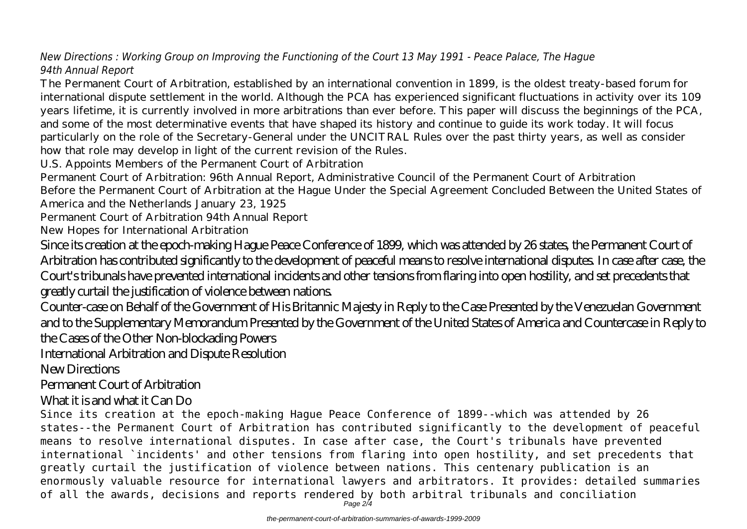# *New Directions : Working Group on Improving the Functioning of the Court 13 May 1991 - Peace Palace, The Hague 94th Annual Report*

The Permanent Court of Arbitration, established by an international convention in 1899, is the oldest treaty-based forum for international dispute settlement in the world. Although the PCA has experienced significant fluctuations in activity over its 109 years lifetime, it is currently involved in more arbitrations than ever before. This paper will discuss the beginnings of the PCA, and some of the most determinative events that have shaped its history and continue to guide its work today. It will focus particularly on the role of the Secretary-General under the UNCITRAL Rules over the past thirty years, as well as consider how that role may develop in light of the current revision of the Rules.

U.S. Appoints Members of the Permanent Court of Arbitration

Permanent Court of Arbitration: 96th Annual Report, Administrative Council of the Permanent Court of Arbitration Before the Permanent Court of Arbitration at the Hague Under the Special Agreement Concluded Between the United States of America and the Netherlands January 23, 1925

Permanent Court of Arbitration 94th Annual Report

New Hopes for International Arbitration

Since its creation at the epoch-making Hague Peace Conference of 1899, which was attended by 26 states, the Permanent Court of Arbitration has contributed significantly to the development of peaceful means to resolve international disputes. In case after case, the Court's tribunals have prevented international incidents and other tensions from flaring into open hostility, and set precedents that greatly curtail the justification of violence between nations.

Counter-case on Behalf of the Government of His Britannic Majesty in Reply to the Case Presented by the Venezuelan Government and to the Supplementary Memorandum Presented by the Government of the United States of America and Countercase in Reply to the Cases of the Other Non-blockading Powers

International Arbitration and Dispute Resolution

New Directions

#### Permanent Court of Arbitration

# What it is and what it Can Do

Since its creation at the epoch-making Hague Peace Conference of 1899--which was attended by 26 states--the Permanent Court of Arbitration has contributed significantly to the development of peaceful means to resolve international disputes. In case after case, the Court's tribunals have prevented international `incidents' and other tensions from flaring into open hostility, and set precedents that greatly curtail the justification of violence between nations. This centenary publication is an enormously valuable resource for international lawyers and arbitrators. It provides: detailed summaries of all the awards, decisions and reports rendered by both arbitral tribunals and conciliation

Page 2/4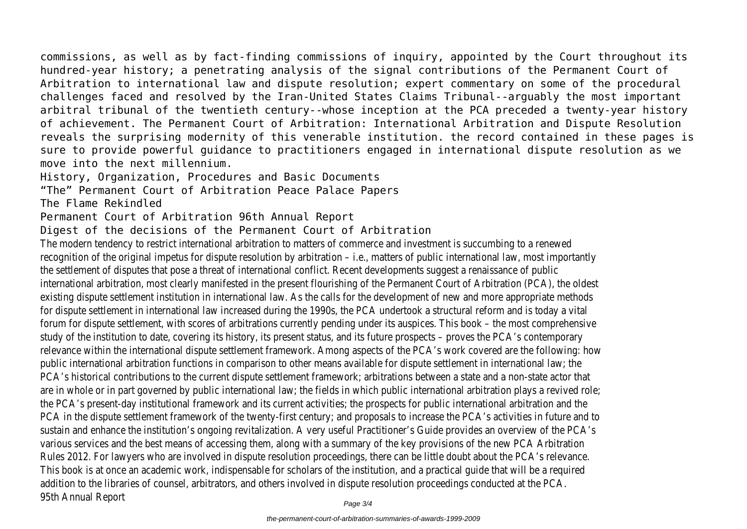commissions, as well as by fact-finding commissions of inquiry, appointed by the Court throughout its hundred-year history; a penetrating analysis of the signal contributions of the Permanent Court of Arbitration to international law and dispute resolution; expert commentary on some of the procedural challenges faced and resolved by the Iran-United States Claims Tribunal--arguably the most important arbitral tribunal of the twentieth century--whose inception at the PCA preceded a twenty-year history of achievement. The Permanent Court of Arbitration: International Arbitration and Dispute Resolution reveals the surprising modernity of this venerable institution. the record contained in these pages is sure to provide powerful guidance to practitioners engaged in international dispute resolution as we move into the next millennium.

History, Organization, Procedures and Basic Documents

"The" Permanent Court of Arbitration Peace Palace Papers

The Flame Rekindled

Permanent Court of Arbitration 96th Annual Report

Digest of the decisions of the Permanent Court of Arbitration

The modern tendency to restrict international arbitration to matters of commerce and investrent is succumbing to a renewed to a renewed to a renewed to a renewed to a renewed to a renewed to a renew to a renewed to a renew recognition of the original impetus for dispute resolution by arbitration – i.e., matters of public the settlement of disputes that pose a threat of international conflict. Recent developments international arbitration, most clearly manifested in the present flourishing of the Permanent existing dispute settlement institution in international law. As the calls for the development of for dispute settlement in international law increased during the 1990s, the PCA undertook a structural reform and is to day in the number of a structural reform and is to discurse a vital reform and is to day and is to and forum for dispute settlement, with scores of arbitrations currently pending under its auspices study of the institution to date, covering its history, its present status, and its future prospe relevance within the international dispute settlement framework. Among aspects of the PCA's public international arbitration functions in comparison to other means available for dispute set PCA's historical contributions to the current dispute settlement framework; arbitrations between and a nonare in whole or in part governed by public international law; the fields in which public internat the PCA's present-day institutional framework and its current activities; the prospects for pu PCA in the dispute settlement framework of the twenty-first century; and proposals to incre sustain and enhance the institution's ongoing revitalization. A very useful Practitioner's Guide various services and the best means of accessing them, along with a summary of the key pro Rules 2012. For lawyers who are involved in dispute resolution proceedings, there can be little This book is at once an academic work, indispensable for scholars of the institution, and a pra addition to the libraries of counsel, arbitrators, and others involved in dispute resolution proce 95th Annual Report Page 3/4